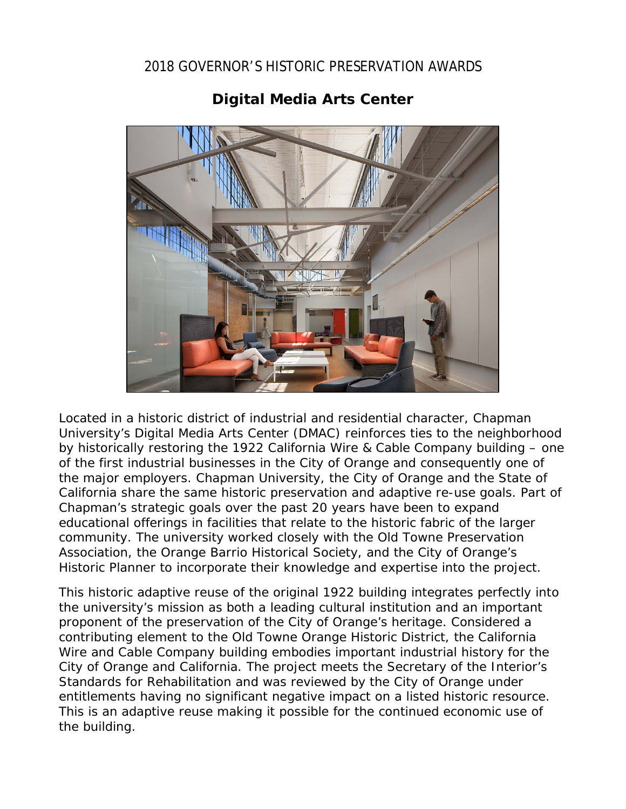## 2018 GOVERNOR'S HISTORIC PRESERVATION AWARDS



## **Digital Media Arts Center**

Located in a historic district of industrial and residential character, Chapman University's Digital Media Arts Center (DMAC) reinforces ties to the neighborhood by historically restoring the 1922 California Wire & Cable Company building – one of the first industrial businesses in the City of Orange and consequently one of the major employers. Chapman University, the City of Orange and the State of California share the same historic preservation and adaptive re-use goals. Part of Chapman's strategic goals over the past 20 years have been to expand educational offerings in facilities that relate to the historic fabric of the larger community. The university worked closely with the Old Towne Preservation Association, the Orange Barrio Historical Society, and the City of Orange's Historic Planner to incorporate their knowledge and expertise into the project.

This historic adaptive reuse of the original 1922 building integrates perfectly into the university's mission as both a leading cultural institution and an important proponent of the preservation of the City of Orange's heritage. Considered a contributing element to the Old Towne Orange Historic District, the California Wire and Cable Company building embodies important industrial history for the City of Orange and California. The project meets the Secretary of the Interior's Standards for Rehabilitation and was reviewed by the City of Orange under entitlements having no significant negative impact on a listed historic resource. This is an adaptive reuse making it possible for the continued economic use of the building.